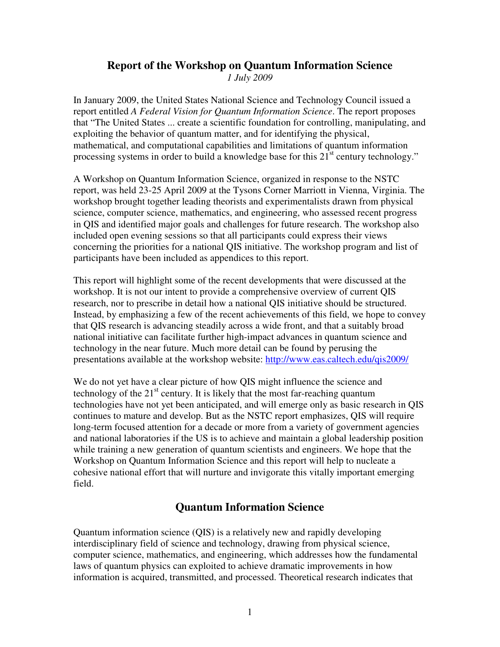# **Report of the Workshop on Quantum Information Science**

*1 July 2009* 

In January 2009, the United States National Science and Technology Council issued a report entitled *A Federal Vision for Quantum Information Science*. The report proposes that "The United States ... create a scientific foundation for controlling, manipulating, and exploiting the behavior of quantum matter, and for identifying the physical, mathematical, and computational capabilities and limitations of quantum information processing systems in order to build a knowledge base for this  $21<sup>st</sup>$  century technology."

A Workshop on Quantum Information Science, organized in response to the NSTC report, was held 23-25 April 2009 at the Tysons Corner Marriott in Vienna, Virginia. The workshop brought together leading theorists and experimentalists drawn from physical science, computer science, mathematics, and engineering, who assessed recent progress in QIS and identified major goals and challenges for future research. The workshop also included open evening sessions so that all participants could express their views concerning the priorities for a national QIS initiative. The workshop program and list of participants have been included as appendices to this report.

This report will highlight some of the recent developments that were discussed at the workshop. It is not our intent to provide a comprehensive overview of current QIS research, nor to prescribe in detail how a national QIS initiative should be structured. Instead, by emphasizing a few of the recent achievements of this field, we hope to convey that QIS research is advancing steadily across a wide front, and that a suitably broad national initiative can facilitate further high-impact advances in quantum science and technology in the near future. Much more detail can be found by perusing the presentations available at the workshop website: http://www.eas.caltech.edu/qis2009/

We do not yet have a clear picture of how QIS might influence the science and technology of the  $21<sup>st</sup>$  century. It is likely that the most far-reaching quantum technologies have not yet been anticipated, and will emerge only as basic research in QIS continues to mature and develop. But as the NSTC report emphasizes, QIS will require long-term focused attention for a decade or more from a variety of government agencies and national laboratories if the US is to achieve and maintain a global leadership position while training a new generation of quantum scientists and engineers. We hope that the Workshop on Quantum Information Science and this report will help to nucleate a cohesive national effort that will nurture and invigorate this vitally important emerging field.

# **Quantum Information Science**

Quantum information science (QIS) is a relatively new and rapidly developing interdisciplinary field of science and technology, drawing from physical science, computer science, mathematics, and engineering, which addresses how the fundamental laws of quantum physics can exploited to achieve dramatic improvements in how information is acquired, transmitted, and processed. Theoretical research indicates that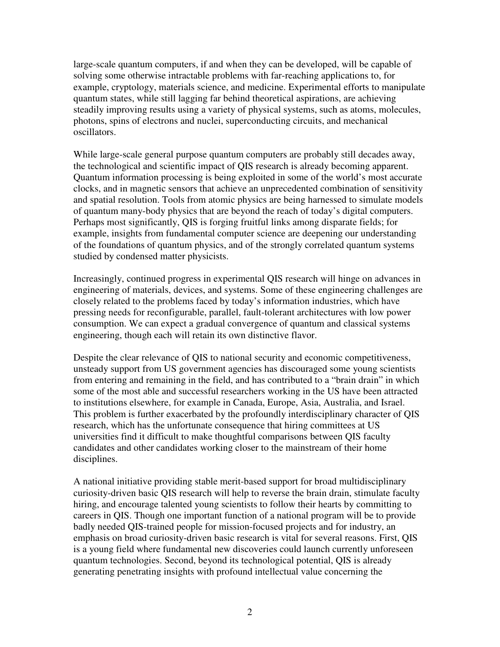large-scale quantum computers, if and when they can be developed, will be capable of solving some otherwise intractable problems with far-reaching applications to, for example, cryptology, materials science, and medicine. Experimental efforts to manipulate quantum states, while still lagging far behind theoretical aspirations, are achieving steadily improving results using a variety of physical systems, such as atoms, molecules, photons, spins of electrons and nuclei, superconducting circuits, and mechanical oscillators.

While large-scale general purpose quantum computers are probably still decades away, the technological and scientific impact of QIS research is already becoming apparent. Quantum information processing is being exploited in some of the world's most accurate clocks, and in magnetic sensors that achieve an unprecedented combination of sensitivity and spatial resolution. Tools from atomic physics are being harnessed to simulate models of quantum many-body physics that are beyond the reach of today's digital computers. Perhaps most significantly, QIS is forging fruitful links among disparate fields; for example, insights from fundamental computer science are deepening our understanding of the foundations of quantum physics, and of the strongly correlated quantum systems studied by condensed matter physicists.

Increasingly, continued progress in experimental QIS research will hinge on advances in engineering of materials, devices, and systems. Some of these engineering challenges are closely related to the problems faced by today's information industries, which have pressing needs for reconfigurable, parallel, fault-tolerant architectures with low power consumption. We can expect a gradual convergence of quantum and classical systems engineering, though each will retain its own distinctive flavor.

Despite the clear relevance of QIS to national security and economic competitiveness, unsteady support from US government agencies has discouraged some young scientists from entering and remaining in the field, and has contributed to a "brain drain" in which some of the most able and successful researchers working in the US have been attracted to institutions elsewhere, for example in Canada, Europe, Asia, Australia, and Israel. This problem is further exacerbated by the profoundly interdisciplinary character of QIS research, which has the unfortunate consequence that hiring committees at US universities find it difficult to make thoughtful comparisons between QIS faculty candidates and other candidates working closer to the mainstream of their home disciplines.

A national initiative providing stable merit-based support for broad multidisciplinary curiosity-driven basic QIS research will help to reverse the brain drain, stimulate faculty hiring, and encourage talented young scientists to follow their hearts by committing to careers in QIS. Though one important function of a national program will be to provide badly needed QIS-trained people for mission-focused projects and for industry, an emphasis on broad curiosity-driven basic research is vital for several reasons. First, QIS is a young field where fundamental new discoveries could launch currently unforeseen quantum technologies. Second, beyond its technological potential, QIS is already generating penetrating insights with profound intellectual value concerning the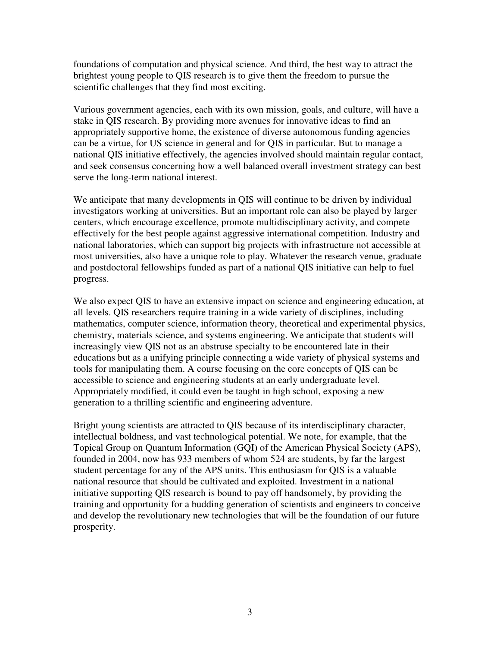foundations of computation and physical science. And third, the best way to attract the brightest young people to QIS research is to give them the freedom to pursue the scientific challenges that they find most exciting.

Various government agencies, each with its own mission, goals, and culture, will have a stake in QIS research. By providing more avenues for innovative ideas to find an appropriately supportive home, the existence of diverse autonomous funding agencies can be a virtue, for US science in general and for QIS in particular. But to manage a national QIS initiative effectively, the agencies involved should maintain regular contact, and seek consensus concerning how a well balanced overall investment strategy can best serve the long-term national interest.

We anticipate that many developments in QIS will continue to be driven by individual investigators working at universities. But an important role can also be played by larger centers, which encourage excellence, promote multidisciplinary activity, and compete effectively for the best people against aggressive international competition. Industry and national laboratories, which can support big projects with infrastructure not accessible at most universities, also have a unique role to play. Whatever the research venue, graduate and postdoctoral fellowships funded as part of a national QIS initiative can help to fuel progress.

We also expect QIS to have an extensive impact on science and engineering education, at all levels. QIS researchers require training in a wide variety of disciplines, including mathematics, computer science, information theory, theoretical and experimental physics, chemistry, materials science, and systems engineering. We anticipate that students will increasingly view QIS not as an abstruse specialty to be encountered late in their educations but as a unifying principle connecting a wide variety of physical systems and tools for manipulating them. A course focusing on the core concepts of QIS can be accessible to science and engineering students at an early undergraduate level. Appropriately modified, it could even be taught in high school, exposing a new generation to a thrilling scientific and engineering adventure.

Bright young scientists are attracted to QIS because of its interdisciplinary character, intellectual boldness, and vast technological potential. We note, for example, that the Topical Group on Quantum Information (GQI) of the American Physical Society (APS), founded in 2004, now has 933 members of whom 524 are students, by far the largest student percentage for any of the APS units. This enthusiasm for QIS is a valuable national resource that should be cultivated and exploited. Investment in a national initiative supporting QIS research is bound to pay off handsomely, by providing the training and opportunity for a budding generation of scientists and engineers to conceive and develop the revolutionary new technologies that will be the foundation of our future prosperity.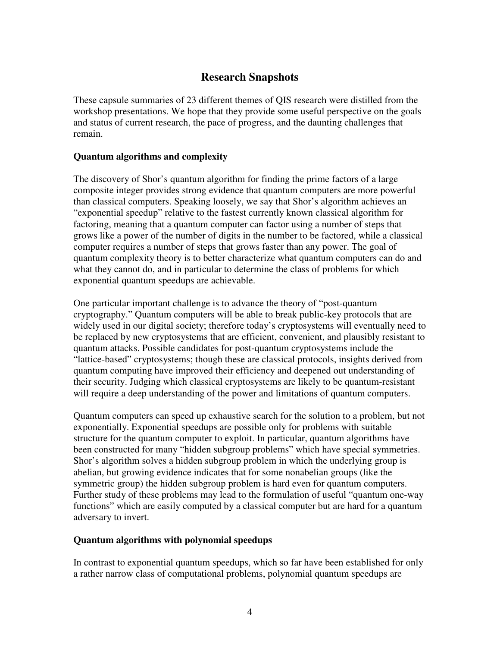# **Research Snapshots**

These capsule summaries of 23 different themes of QIS research were distilled from the workshop presentations. We hope that they provide some useful perspective on the goals and status of current research, the pace of progress, and the daunting challenges that remain.

# **Quantum algorithms and complexity**

The discovery of Shor's quantum algorithm for finding the prime factors of a large composite integer provides strong evidence that quantum computers are more powerful than classical computers. Speaking loosely, we say that Shor's algorithm achieves an "exponential speedup" relative to the fastest currently known classical algorithm for factoring, meaning that a quantum computer can factor using a number of steps that grows like a power of the number of digits in the number to be factored, while a classical computer requires a number of steps that grows faster than any power. The goal of quantum complexity theory is to better characterize what quantum computers can do and what they cannot do, and in particular to determine the class of problems for which exponential quantum speedups are achievable.

One particular important challenge is to advance the theory of "post-quantum cryptography." Quantum computers will be able to break public-key protocols that are widely used in our digital society; therefore today's cryptosystems will eventually need to be replaced by new cryptosystems that are efficient, convenient, and plausibly resistant to quantum attacks. Possible candidates for post-quantum cryptosystems include the "lattice-based" cryptosystems; though these are classical protocols, insights derived from quantum computing have improved their efficiency and deepened out understanding of their security. Judging which classical cryptosystems are likely to be quantum-resistant will require a deep understanding of the power and limitations of quantum computers.

Quantum computers can speed up exhaustive search for the solution to a problem, but not exponentially. Exponential speedups are possible only for problems with suitable structure for the quantum computer to exploit. In particular, quantum algorithms have been constructed for many "hidden subgroup problems" which have special symmetries. Shor's algorithm solves a hidden subgroup problem in which the underlying group is abelian, but growing evidence indicates that for some nonabelian groups (like the symmetric group) the hidden subgroup problem is hard even for quantum computers. Further study of these problems may lead to the formulation of useful "quantum one-way functions" which are easily computed by a classical computer but are hard for a quantum adversary to invert.

# **Quantum algorithms with polynomial speedups**

In contrast to exponential quantum speedups, which so far have been established for only a rather narrow class of computational problems, polynomial quantum speedups are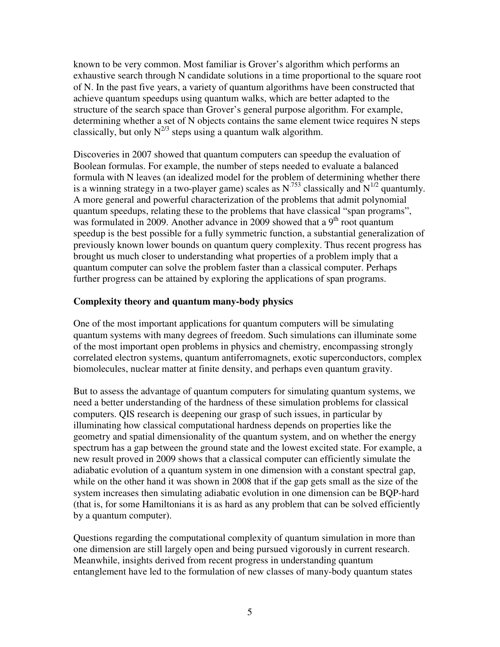known to be very common. Most familiar is Grover's algorithm which performs an exhaustive search through N candidate solutions in a time proportional to the square root of N. In the past five years, a variety of quantum algorithms have been constructed that achieve quantum speedups using quantum walks, which are better adapted to the structure of the search space than Grover's general purpose algorithm. For example, determining whether a set of N objects contains the same element twice requires N steps classically, but only  $N^{2/3}$  steps using a quantum walk algorithm.

Discoveries in 2007 showed that quantum computers can speedup the evaluation of Boolean formulas. For example, the number of steps needed to evaluate a balanced formula with N leaves (an idealized model for the problem of determining whether there is a winning strategy in a two-player game) scales as  $N^{.753}$  classically and  $N^{1/2}$  quantumly. A more general and powerful characterization of the problems that admit polynomial quantum speedups, relating these to the problems that have classical "span programs", was formulated in 2009. Another advance in 2009 showed that a  $9<sup>th</sup>$  root quantum speedup is the best possible for a fully symmetric function, a substantial generalization of previously known lower bounds on quantum query complexity. Thus recent progress has brought us much closer to understanding what properties of a problem imply that a quantum computer can solve the problem faster than a classical computer. Perhaps further progress can be attained by exploring the applications of span programs.

#### **Complexity theory and quantum many-body physics**

One of the most important applications for quantum computers will be simulating quantum systems with many degrees of freedom. Such simulations can illuminate some of the most important open problems in physics and chemistry, encompassing strongly correlated electron systems, quantum antiferromagnets, exotic superconductors, complex biomolecules, nuclear matter at finite density, and perhaps even quantum gravity.

But to assess the advantage of quantum computers for simulating quantum systems, we need a better understanding of the hardness of these simulation problems for classical computers. QIS research is deepening our grasp of such issues, in particular by illuminating how classical computational hardness depends on properties like the geometry and spatial dimensionality of the quantum system, and on whether the energy spectrum has a gap between the ground state and the lowest excited state. For example, a new result proved in 2009 shows that a classical computer can efficiently simulate the adiabatic evolution of a quantum system in one dimension with a constant spectral gap, while on the other hand it was shown in 2008 that if the gap gets small as the size of the system increases then simulating adiabatic evolution in one dimension can be BQP-hard (that is, for some Hamiltonians it is as hard as any problem that can be solved efficiently by a quantum computer).

Questions regarding the computational complexity of quantum simulation in more than one dimension are still largely open and being pursued vigorously in current research. Meanwhile, insights derived from recent progress in understanding quantum entanglement have led to the formulation of new classes of many-body quantum states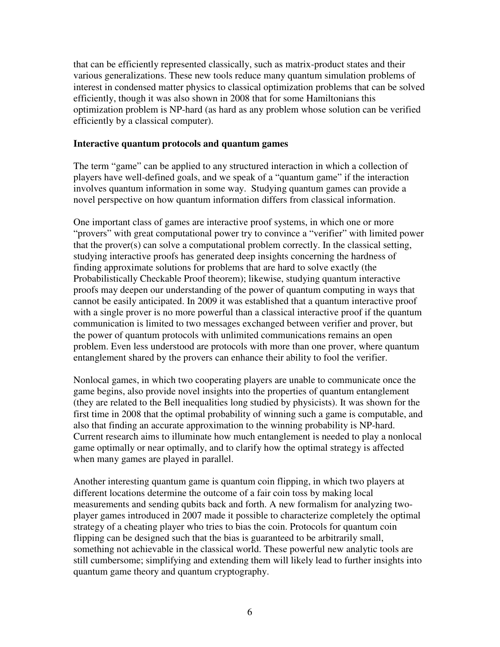that can be efficiently represented classically, such as matrix-product states and their various generalizations. These new tools reduce many quantum simulation problems of interest in condensed matter physics to classical optimization problems that can be solved efficiently, though it was also shown in 2008 that for some Hamiltonians this optimization problem is NP-hard (as hard as any problem whose solution can be verified efficiently by a classical computer).

#### **Interactive quantum protocols and quantum games**

The term "game" can be applied to any structured interaction in which a collection of players have well-defined goals, and we speak of a "quantum game" if the interaction involves quantum information in some way. Studying quantum games can provide a novel perspective on how quantum information differs from classical information.

One important class of games are interactive proof systems, in which one or more "provers" with great computational power try to convince a "verifier" with limited power that the prover(s) can solve a computational problem correctly. In the classical setting, studying interactive proofs has generated deep insights concerning the hardness of finding approximate solutions for problems that are hard to solve exactly (the Probabilistically Checkable Proof theorem); likewise, studying quantum interactive proofs may deepen our understanding of the power of quantum computing in ways that cannot be easily anticipated. In 2009 it was established that a quantum interactive proof with a single prover is no more powerful than a classical interactive proof if the quantum communication is limited to two messages exchanged between verifier and prover, but the power of quantum protocols with unlimited communications remains an open problem. Even less understood are protocols with more than one prover, where quantum entanglement shared by the provers can enhance their ability to fool the verifier.

Nonlocal games, in which two cooperating players are unable to communicate once the game begins, also provide novel insights into the properties of quantum entanglement (they are related to the Bell inequalities long studied by physicists). It was shown for the first time in 2008 that the optimal probability of winning such a game is computable, and also that finding an accurate approximation to the winning probability is NP-hard. Current research aims to illuminate how much entanglement is needed to play a nonlocal game optimally or near optimally, and to clarify how the optimal strategy is affected when many games are played in parallel.

Another interesting quantum game is quantum coin flipping, in which two players at different locations determine the outcome of a fair coin toss by making local measurements and sending qubits back and forth. A new formalism for analyzing twoplayer games introduced in 2007 made it possible to characterize completely the optimal strategy of a cheating player who tries to bias the coin. Protocols for quantum coin flipping can be designed such that the bias is guaranteed to be arbitrarily small, something not achievable in the classical world. These powerful new analytic tools are still cumbersome; simplifying and extending them will likely lead to further insights into quantum game theory and quantum cryptography.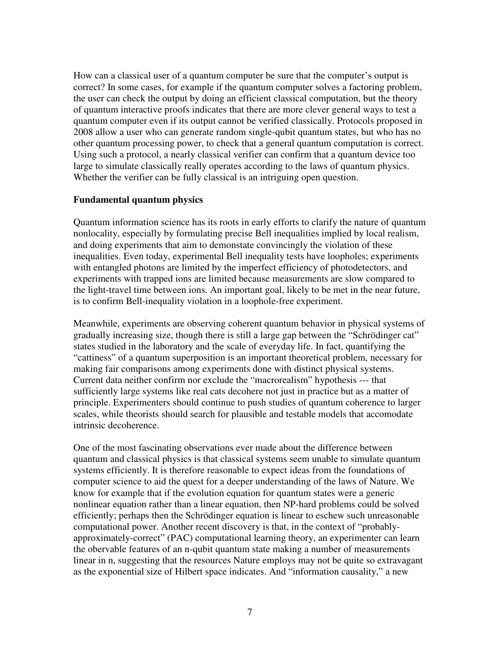How can a classical user of a quantum computer be sure that the computer's output is correct? In some cases, for example if the quantum computer solves a factoring problem, the user can check the output by doing an efficient classical computation, but the theory of quantum interactive proofs indicates that there are more clever general ways to test a quantum computer even if its output cannot be verified classically. Protocols proposed in 2008 allow a user who can generate random single-qubit quantum states, but who has no other quantum processing power, to check that a general quantum computation is correct. Using such a protocol, a nearly classical verifier can confirm that a quantum device too large to simulate classically really operates according to the laws of quantum physics. Whether the verifier can be fully classical is an intriguing open question.

#### **Fundamental quantum physics**

Quantum information science has its roots in early efforts to clarify the nature of quantum nonlocality, especially by formulating precise Bell inequalities implied by local realism, and doing experiments that aim to demonstate convincingly the violation of these inequalities. Even today, experimental Bell inequality tests have loopholes; experiments with entangled photons are limited by the imperfect efficiency of photodetectors, and experiments with trapped ions are limited because measurements are slow compared to the light-travel time between ions. An important goal, likely to be met in the near future, is to confirm Bell-inequality violation in a loophole-free experiment.

Meanwhile, experiments are observing coherent quantum behavior in physical systems of gradually increasing size, though there is still a large gap between the "Schrödinger cat" states studied in the laboratory and the scale of everyday life. In fact, quantifying the "cattiness" of a quantum superposition is an important theoretical problem, necessary for making fair comparisons among experiments done with distinct physical systems. Current data neither confirm nor exclude the "macrorealism" hypothesis --- that sufficiently large systems like real cats decohere not just in practice but as a matter of principle. Experimenters should continue to push studies of quantum coherence to larger scales, while theorists should search for plausible and testable models that accomodate intrinsic decoherence.

One of the most fascinating observations ever made about the difference between quantum and classical physics is that classical systems seem unable to simulate quantum systems efficiently. It is therefore reasonable to expect ideas from the foundations of computer science to aid the quest for a deeper understanding of the laws of Nature. We know for example that if the evolution equation for quantum states were a generic nonlinear equation rather than a linear equation, then NP-hard problems could be solved efficiently; perhaps then the Schrödinger equation is linear to eschew such unreasonable computational power. Another recent discovery is that, in the context of "probablyapproximately-correct" (PAC) computational learning theory, an experimenter can learn the obervable features of an n-qubit quantum state making a number of measurements linear in n, suggesting that the resources Nature employs may not be quite so extravagant as the exponential size of Hilbert space indicates. And "information causality," a new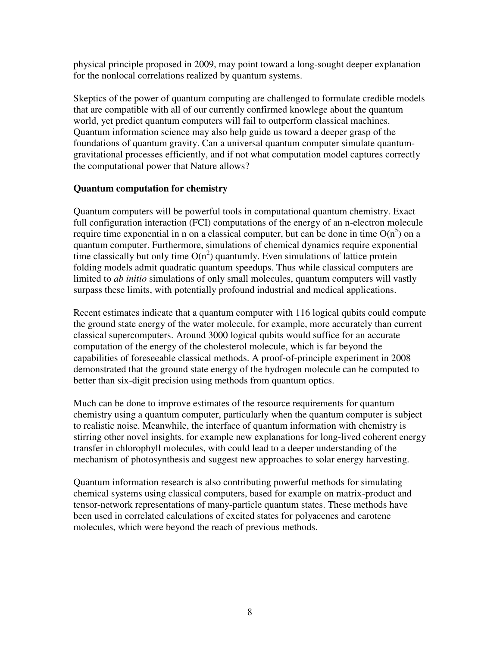physical principle proposed in 2009, may point toward a long-sought deeper explanation for the nonlocal correlations realized by quantum systems.

Skeptics of the power of quantum computing are challenged to formulate credible models that are compatible with all of our currently confirmed knowlege about the quantum world, yet predict quantum computers will fail to outperform classical machines. Quantum information science may also help guide us toward a deeper grasp of the foundations of quantum gravity. Can a universal quantum computer simulate quantumgravitational processes efficiently, and if not what computation model captures correctly the computational power that Nature allows?

# **Quantum computation for chemistry**

Quantum computers will be powerful tools in computational quantum chemistry. Exact full configuration interaction (FCI) computations of the energy of an n-electron molecule require time exponential in n on a classical computer, but can be done in time  $O(n^5)$  on a quantum computer. Furthermore, simulations of chemical dynamics require exponential time classically but only time  $O(n^2)$  quantumly. Even simulations of lattice protein folding models admit quadratic quantum speedups. Thus while classical computers are limited to *ab initio* simulations of only small molecules, quantum computers will vastly surpass these limits, with potentially profound industrial and medical applications.

Recent estimates indicate that a quantum computer with 116 logical qubits could compute the ground state energy of the water molecule, for example, more accurately than current classical supercomputers. Around 3000 logical qubits would suffice for an accurate computation of the energy of the cholesterol molecule, which is far beyond the capabilities of foreseeable classical methods. A proof-of-principle experiment in 2008 demonstrated that the ground state energy of the hydrogen molecule can be computed to better than six-digit precision using methods from quantum optics.

Much can be done to improve estimates of the resource requirements for quantum chemistry using a quantum computer, particularly when the quantum computer is subject to realistic noise. Meanwhile, the interface of quantum information with chemistry is stirring other novel insights, for example new explanations for long-lived coherent energy transfer in chlorophyll molecules, with could lead to a deeper understanding of the mechanism of photosynthesis and suggest new approaches to solar energy harvesting.

Quantum information research is also contributing powerful methods for simulating chemical systems using classical computers, based for example on matrix-product and tensor-network representations of many-particle quantum states. These methods have been used in correlated calculations of excited states for polyacenes and carotene molecules, which were beyond the reach of previous methods.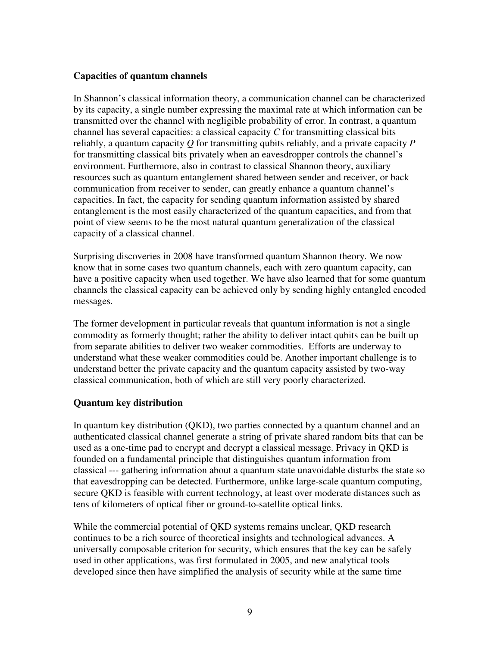#### **Capacities of quantum channels**

In Shannon's classical information theory, a communication channel can be characterized by its capacity, a single number expressing the maximal rate at which information can be transmitted over the channel with negligible probability of error. In contrast, a quantum channel has several capacities: a classical capacity *C* for transmitting classical bits reliably, a quantum capacity *Q* for transmitting qubits reliably, and a private capacity *P* for transmitting classical bits privately when an eavesdropper controls the channel's environment. Furthermore, also in contrast to classical Shannon theory, auxiliary resources such as quantum entanglement shared between sender and receiver, or back communication from receiver to sender, can greatly enhance a quantum channel's capacities. In fact, the capacity for sending quantum information assisted by shared entanglement is the most easily characterized of the quantum capacities, and from that point of view seems to be the most natural quantum generalization of the classical capacity of a classical channel.

Surprising discoveries in 2008 have transformed quantum Shannon theory. We now know that in some cases two quantum channels, each with zero quantum capacity, can have a positive capacity when used together. We have also learned that for some quantum channels the classical capacity can be achieved only by sending highly entangled encoded messages.

The former development in particular reveals that quantum information is not a single commodity as formerly thought; rather the ability to deliver intact qubits can be built up from separate abilities to deliver two weaker commodities. Efforts are underway to understand what these weaker commodities could be. Another important challenge is to understand better the private capacity and the quantum capacity assisted by two-way classical communication, both of which are still very poorly characterized.

# **Quantum key distribution**

In quantum key distribution (QKD), two parties connected by a quantum channel and an authenticated classical channel generate a string of private shared random bits that can be used as a one-time pad to encrypt and decrypt a classical message. Privacy in QKD is founded on a fundamental principle that distinguishes quantum information from classical --- gathering information about a quantum state unavoidable disturbs the state so that eavesdropping can be detected. Furthermore, unlike large-scale quantum computing, secure QKD is feasible with current technology, at least over moderate distances such as tens of kilometers of optical fiber or ground-to-satellite optical links.

While the commercial potential of QKD systems remains unclear, QKD research continues to be a rich source of theoretical insights and technological advances. A universally composable criterion for security, which ensures that the key can be safely used in other applications, was first formulated in 2005, and new analytical tools developed since then have simplified the analysis of security while at the same time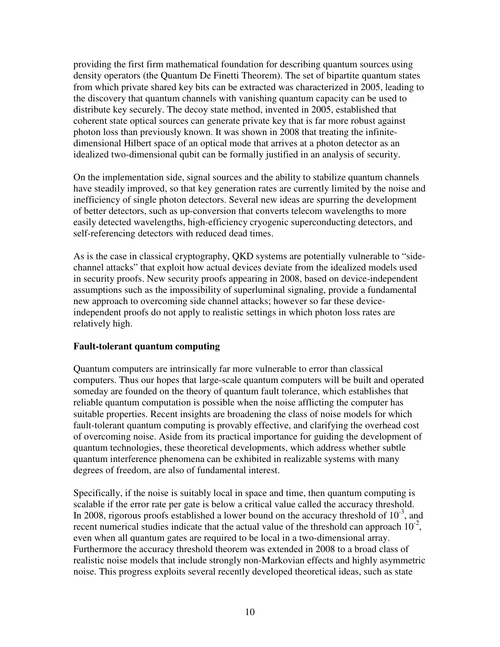providing the first firm mathematical foundation for describing quantum sources using density operators (the Quantum De Finetti Theorem). The set of bipartite quantum states from which private shared key bits can be extracted was characterized in 2005, leading to the discovery that quantum channels with vanishing quantum capacity can be used to distribute key securely. The decoy state method, invented in 2005, established that coherent state optical sources can generate private key that is far more robust against photon loss than previously known. It was shown in 2008 that treating the infinitedimensional Hilbert space of an optical mode that arrives at a photon detector as an idealized two-dimensional qubit can be formally justified in an analysis of security.

On the implementation side, signal sources and the ability to stabilize quantum channels have steadily improved, so that key generation rates are currently limited by the noise and inefficiency of single photon detectors. Several new ideas are spurring the development of better detectors, such as up-conversion that converts telecom wavelengths to more easily detected wavelengths, high-efficiency cryogenic superconducting detectors, and self-referencing detectors with reduced dead times.

As is the case in classical cryptography, QKD systems are potentially vulnerable to "sidechannel attacks" that exploit how actual devices deviate from the idealized models used in security proofs. New security proofs appearing in 2008, based on device-independent assumptions such as the impossibility of superluminal signaling, provide a fundamental new approach to overcoming side channel attacks; however so far these deviceindependent proofs do not apply to realistic settings in which photon loss rates are relatively high.

# **Fault-tolerant quantum computing**

Quantum computers are intrinsically far more vulnerable to error than classical computers. Thus our hopes that large-scale quantum computers will be built and operated someday are founded on the theory of quantum fault tolerance, which establishes that reliable quantum computation is possible when the noise afflicting the computer has suitable properties. Recent insights are broadening the class of noise models for which fault-tolerant quantum computing is provably effective, and clarifying the overhead cost of overcoming noise. Aside from its practical importance for guiding the development of quantum technologies, these theoretical developments, which address whether subtle quantum interference phenomena can be exhibited in realizable systems with many degrees of freedom, are also of fundamental interest.

Specifically, if the noise is suitably local in space and time, then quantum computing is scalable if the error rate per gate is below a critical value called the accuracy threshold. In 2008, rigorous proofs established a lower bound on the accuracy threshold of  $10^{-3}$ , and recent numerical studies indicate that the actual value of the threshold can approach  $10^{-2}$ , even when all quantum gates are required to be local in a two-dimensional array. Furthermore the accuracy threshold theorem was extended in 2008 to a broad class of realistic noise models that include strongly non-Markovian effects and highly asymmetric noise. This progress exploits several recently developed theoretical ideas, such as state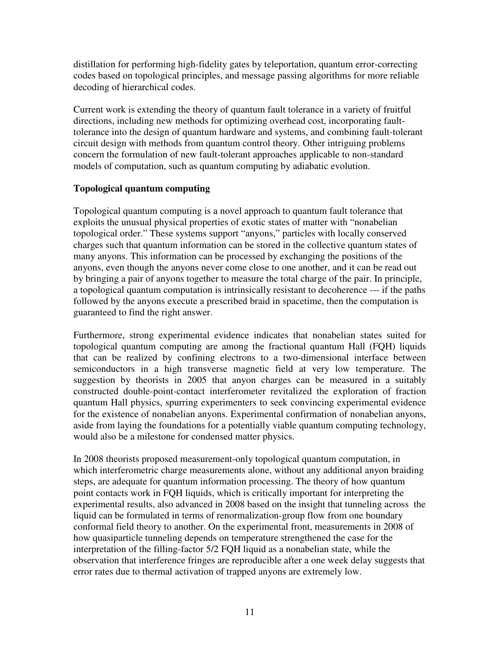distillation for performing high-fidelity gates by teleportation, quantum error-correcting codes based on topological principles, and message passing algorithms for more reliable decoding of hierarchical codes.

Current work is extending the theory of quantum fault tolerance in a variety of fruitful directions, including new methods for optimizing overhead cost, incorporating faulttolerance into the design of quantum hardware and systems, and combining fault-tolerant circuit design with methods from quantum control theory. Other intriguing problems concern the formulation of new fault-tolerant approaches applicable to non-standard models of computation, such as quantum computing by adiabatic evolution.

# **Topological quantum computing**

Topological quantum computing is a novel approach to quantum fault tolerance that exploits the unusual physical properties of exotic states of matter with "nonabelian topological order." These systems support "anyons," particles with locally conserved charges such that quantum information can be stored in the collective quantum states of many anyons. This information can be processed by exchanging the positions of the anyons, even though the anyons never come close to one another, and it can be read out by bringing a pair of anyons together to measure the total charge of the pair. In principle, a topological quantum computation is intrinsically resistant to decoherence --- if the paths followed by the anyons execute a prescribed braid in spacetime, then the computation is guaranteed to find the right answer.

Furthermore, strong experimental evidence indicates that nonabelian states suited for topological quantum computing are among the fractional quantum Hall (FQH) liquids that can be realized by confining electrons to a two-dimensional interface between semiconductors in a high transverse magnetic field at very low temperature. The suggestion by theorists in 2005 that anyon charges can be measured in a suitably constructed double-point-contact interferometer revitalized the exploration of fraction quantum Hall physics, spurring experimenters to seek convincing experimental evidence for the existence of nonabelian anyons. Experimental confirmation of nonabelian anyons, aside from laying the foundations for a potentially viable quantum computing technology, would also be a milestone for condensed matter physics.

In 2008 theorists proposed measurement-only topological quantum computation, in which interferometric charge measurements alone, without any additional anyon braiding steps, are adequate for quantum information processing. The theory of how quantum point contacts work in FQH liquids, which is critically important for interpreting the experimental results, also advanced in 2008 based on the insight that tunneling across the liquid can be formulated in terms of renormalization-group flow from one boundary conformal field theory to another. On the experimental front, measurements in 2008 of how quasiparticle tunneling depends on temperature strengthened the case for the interpretation of the filling-factor 5/2 FQH liquid as a nonabelian state, while the observation that interference fringes are reproducible after a one week delay suggests that error rates due to thermal activation of trapped anyons are extremely low.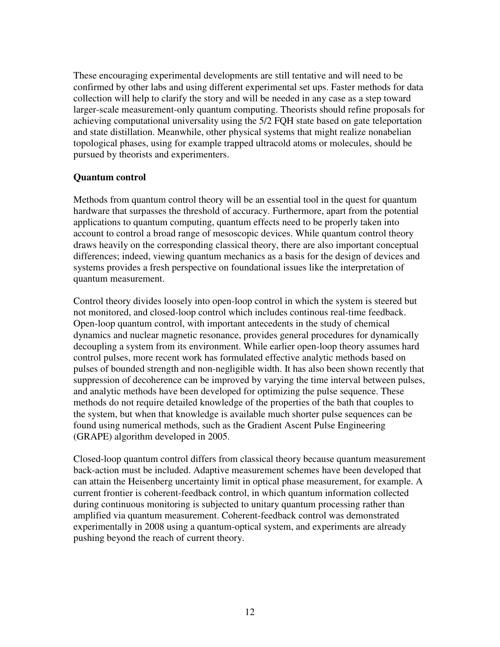These encouraging experimental developments are still tentative and will need to be confirmed by other labs and using different experimental set ups. Faster methods for data collection will help to clarify the story and will be needed in any case as a step toward larger-scale measurement-only quantum computing. Theorists should refine proposals for achieving computational universality using the 5/2 FQH state based on gate teleportation and state distillation. Meanwhile, other physical systems that might realize nonabelian topological phases, using for example trapped ultracold atoms or molecules, should be pursued by theorists and experimenters.

#### **Quantum control**

Methods from quantum control theory will be an essential tool in the quest for quantum hardware that surpasses the threshold of accuracy. Furthermore, apart from the potential applications to quantum computing, quantum effects need to be properly taken into account to control a broad range of mesoscopic devices. While quantum control theory draws heavily on the corresponding classical theory, there are also important conceptual differences; indeed, viewing quantum mechanics as a basis for the design of devices and systems provides a fresh perspective on foundational issues like the interpretation of quantum measurement.

Control theory divides loosely into open-loop control in which the system is steered but not monitored, and closed-loop control which includes continous real-time feedback. Open-loop quantum control, with important antecedents in the study of chemical dynamics and nuclear magnetic resonance, provides general procedures for dynamically decoupling a system from its environment. While earlier open-loop theory assumes hard control pulses, more recent work has formulated effective analytic methods based on pulses of bounded strength and non-negligible width. It has also been shown recently that suppression of decoherence can be improved by varying the time interval between pulses, and analytic methods have been developed for optimizing the pulse sequence. These methods do not require detailed knowledge of the properties of the bath that couples to the system, but when that knowledge is available much shorter pulse sequences can be found using numerical methods, such as the Gradient Ascent Pulse Engineering (GRAPE) algorithm developed in 2005.

Closed-loop quantum control differs from classical theory because quantum measurement back-action must be included. Adaptive measurement schemes have been developed that can attain the Heisenberg uncertainty limit in optical phase measurement, for example. A current frontier is coherent-feedback control, in which quantum information collected during continuous monitoring is subjected to unitary quantum processing rather than amplified via quantum measurement. Coherent-feedback control was demonstrated experimentally in 2008 using a quantum-optical system, and experiments are already pushing beyond the reach of current theory.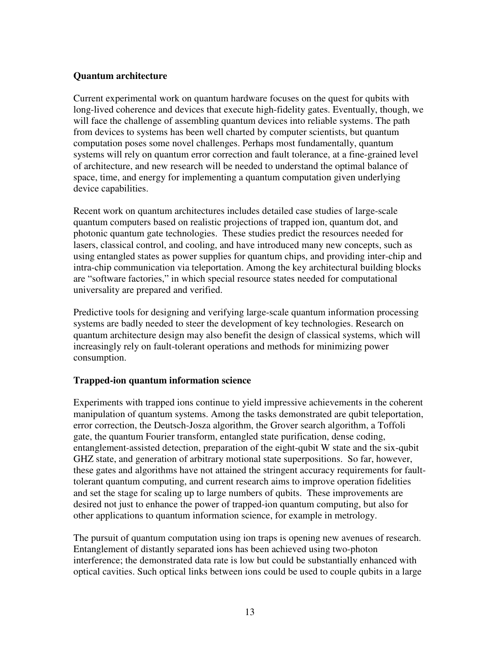#### **Quantum architecture**

Current experimental work on quantum hardware focuses on the quest for qubits with long-lived coherence and devices that execute high-fidelity gates. Eventually, though, we will face the challenge of assembling quantum devices into reliable systems. The path from devices to systems has been well charted by computer scientists, but quantum computation poses some novel challenges. Perhaps most fundamentally, quantum systems will rely on quantum error correction and fault tolerance, at a fine-grained level of architecture, and new research will be needed to understand the optimal balance of space, time, and energy for implementing a quantum computation given underlying device capabilities.

Recent work on quantum architectures includes detailed case studies of large-scale quantum computers based on realistic projections of trapped ion, quantum dot, and photonic quantum gate technologies. These studies predict the resources needed for lasers, classical control, and cooling, and have introduced many new concepts, such as using entangled states as power supplies for quantum chips, and providing inter-chip and intra-chip communication via teleportation. Among the key architectural building blocks are "software factories," in which special resource states needed for computational universality are prepared and verified.

Predictive tools for designing and verifying large-scale quantum information processing systems are badly needed to steer the development of key technologies. Research on quantum architecture design may also benefit the design of classical systems, which will increasingly rely on fault-tolerant operations and methods for minimizing power consumption.

# **Trapped-ion quantum information science**

Experiments with trapped ions continue to yield impressive achievements in the coherent manipulation of quantum systems. Among the tasks demonstrated are qubit teleportation, error correction, the Deutsch-Josza algorithm, the Grover search algorithm, a Toffoli gate, the quantum Fourier transform, entangled state purification, dense coding, entanglement-assisted detection, preparation of the eight-qubit W state and the six-qubit GHZ state, and generation of arbitrary motional state superpositions. So far, however, these gates and algorithms have not attained the stringent accuracy requirements for faulttolerant quantum computing, and current research aims to improve operation fidelities and set the stage for scaling up to large numbers of qubits. These improvements are desired not just to enhance the power of trapped-ion quantum computing, but also for other applications to quantum information science, for example in metrology.

The pursuit of quantum computation using ion traps is opening new avenues of research. Entanglement of distantly separated ions has been achieved using two-photon interference; the demonstrated data rate is low but could be substantially enhanced with optical cavities. Such optical links between ions could be used to couple qubits in a large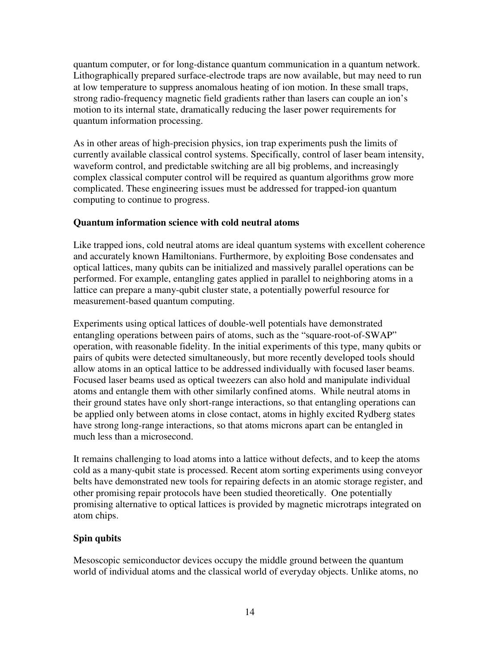quantum computer, or for long-distance quantum communication in a quantum network. Lithographically prepared surface-electrode traps are now available, but may need to run at low temperature to suppress anomalous heating of ion motion. In these small traps, strong radio-frequency magnetic field gradients rather than lasers can couple an ion's motion to its internal state, dramatically reducing the laser power requirements for quantum information processing.

As in other areas of high-precision physics, ion trap experiments push the limits of currently available classical control systems. Specifically, control of laser beam intensity, waveform control, and predictable switching are all big problems, and increasingly complex classical computer control will be required as quantum algorithms grow more complicated. These engineering issues must be addressed for trapped-ion quantum computing to continue to progress.

# **Quantum information science with cold neutral atoms**

Like trapped ions, cold neutral atoms are ideal quantum systems with excellent coherence and accurately known Hamiltonians. Furthermore, by exploiting Bose condensates and optical lattices, many qubits can be initialized and massively parallel operations can be performed. For example, entangling gates applied in parallel to neighboring atoms in a lattice can prepare a many-qubit cluster state, a potentially powerful resource for measurement-based quantum computing.

Experiments using optical lattices of double-well potentials have demonstrated entangling operations between pairs of atoms, such as the "square-root-of-SWAP" operation, with reasonable fidelity. In the initial experiments of this type, many qubits or pairs of qubits were detected simultaneously, but more recently developed tools should allow atoms in an optical lattice to be addressed individually with focused laser beams. Focused laser beams used as optical tweezers can also hold and manipulate individual atoms and entangle them with other similarly confined atoms. While neutral atoms in their ground states have only short-range interactions, so that entangling operations can be applied only between atoms in close contact, atoms in highly excited Rydberg states have strong long-range interactions, so that atoms microns apart can be entangled in much less than a microsecond.

It remains challenging to load atoms into a lattice without defects, and to keep the atoms cold as a many-qubit state is processed. Recent atom sorting experiments using conveyor belts have demonstrated new tools for repairing defects in an atomic storage register, and other promising repair protocols have been studied theoretically. One potentially promising alternative to optical lattices is provided by magnetic microtraps integrated on atom chips.

# **Spin qubits**

Mesoscopic semiconductor devices occupy the middle ground between the quantum world of individual atoms and the classical world of everyday objects. Unlike atoms, no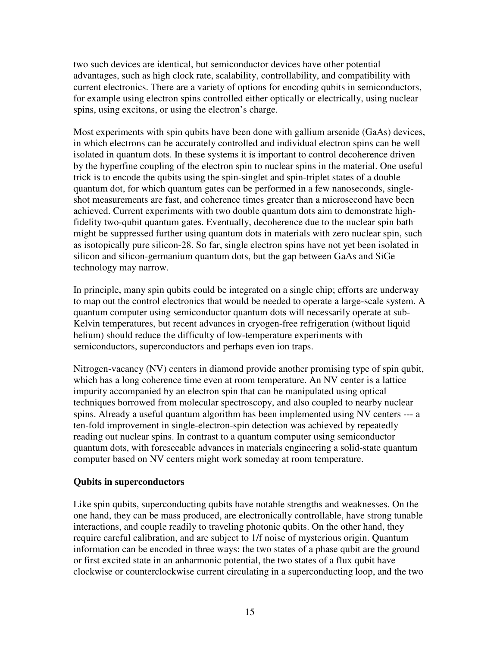two such devices are identical, but semiconductor devices have other potential advantages, such as high clock rate, scalability, controllability, and compatibility with current electronics. There are a variety of options for encoding qubits in semiconductors, for example using electron spins controlled either optically or electrically, using nuclear spins, using excitons, or using the electron's charge.

Most experiments with spin qubits have been done with gallium arsenide (GaAs) devices, in which electrons can be accurately controlled and individual electron spins can be well isolated in quantum dots. In these systems it is important to control decoherence driven by the hyperfine coupling of the electron spin to nuclear spins in the material. One useful trick is to encode the qubits using the spin-singlet and spin-triplet states of a double quantum dot, for which quantum gates can be performed in a few nanoseconds, singleshot measurements are fast, and coherence times greater than a microsecond have been achieved. Current experiments with two double quantum dots aim to demonstrate highfidelity two-qubit quantum gates. Eventually, decoherence due to the nuclear spin bath might be suppressed further using quantum dots in materials with zero nuclear spin, such as isotopically pure silicon-28. So far, single electron spins have not yet been isolated in silicon and silicon-germanium quantum dots, but the gap between GaAs and SiGe technology may narrow.

In principle, many spin qubits could be integrated on a single chip; efforts are underway to map out the control electronics that would be needed to operate a large-scale system. A quantum computer using semiconductor quantum dots will necessarily operate at sub-Kelvin temperatures, but recent advances in cryogen-free refrigeration (without liquid helium) should reduce the difficulty of low-temperature experiments with semiconductors, superconductors and perhaps even ion traps.

Nitrogen-vacancy (NV) centers in diamond provide another promising type of spin qubit, which has a long coherence time even at room temperature. An NV center is a lattice impurity accompanied by an electron spin that can be manipulated using optical techniques borrowed from molecular spectroscopy, and also coupled to nearby nuclear spins. Already a useful quantum algorithm has been implemented using NV centers --- a ten-fold improvement in single-electron-spin detection was achieved by repeatedly reading out nuclear spins. In contrast to a quantum computer using semiconductor quantum dots, with foreseeable advances in materials engineering a solid-state quantum computer based on NV centers might work someday at room temperature.

# **Qubits in superconductors**

Like spin qubits, superconducting qubits have notable strengths and weaknesses. On the one hand, they can be mass produced, are electronically controllable, have strong tunable interactions, and couple readily to traveling photonic qubits. On the other hand, they require careful calibration, and are subject to 1/f noise of mysterious origin. Quantum information can be encoded in three ways: the two states of a phase qubit are the ground or first excited state in an anharmonic potential, the two states of a flux qubit have clockwise or counterclockwise current circulating in a superconducting loop, and the two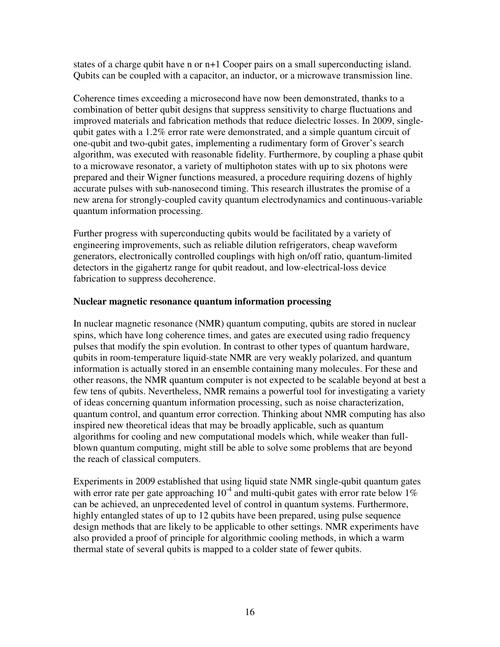states of a charge qubit have n or n+1 Cooper pairs on a small superconducting island. Qubits can be coupled with a capacitor, an inductor, or a microwave transmission line.

Coherence times exceeding a microsecond have now been demonstrated, thanks to a combination of better qubit designs that suppress sensitivity to charge fluctuations and improved materials and fabrication methods that reduce dielectric losses. In 2009, singlequbit gates with a 1.2% error rate were demonstrated, and a simple quantum circuit of one-qubit and two-qubit gates, implementing a rudimentary form of Grover's search algorithm, was executed with reasonable fidelity. Furthermore, by coupling a phase qubit to a microwave resonator, a variety of multiphoton states with up to six photons were prepared and their Wigner functions measured, a procedure requiring dozens of highly accurate pulses with sub-nanosecond timing. This research illustrates the promise of a new arena for strongly-coupled cavity quantum electrodynamics and continuous-variable quantum information processing.

Further progress with superconducting qubits would be facilitated by a variety of engineering improvements, such as reliable dilution refrigerators, cheap waveform generators, electronically controlled couplings with high on/off ratio, quantum-limited detectors in the gigahertz range for qubit readout, and low-electrical-loss device fabrication to suppress decoherence.

#### **Nuclear magnetic resonance quantum information processing**

In nuclear magnetic resonance (NMR) quantum computing, qubits are stored in nuclear spins, which have long coherence times, and gates are executed using radio frequency pulses that modify the spin evolution. In contrast to other types of quantum hardware, qubits in room-temperature liquid-state NMR are very weakly polarized, and quantum information is actually stored in an ensemble containing many molecules. For these and other reasons, the NMR quantum computer is not expected to be scalable beyond at best a few tens of qubits. Nevertheless, NMR remains a powerful tool for investigating a variety of ideas concerning quantum information processing, such as noise characterization, quantum control, and quantum error correction. Thinking about NMR computing has also inspired new theoretical ideas that may be broadly applicable, such as quantum algorithms for cooling and new computational models which, while weaker than fullblown quantum computing, might still be able to solve some problems that are beyond the reach of classical computers.

Experiments in 2009 established that using liquid state NMR single-qubit quantum gates with error rate per gate approaching  $10^{-4}$  and multi-qubit gates with error rate below  $1\%$ can be achieved, an unprecedented level of control in quantum systems. Furthermore, highly entangled states of up to 12 qubits have been prepared, using pulse sequence design methods that are likely to be applicable to other settings. NMR experiments have also provided a proof of principle for algorithmic cooling methods, in which a warm thermal state of several qubits is mapped to a colder state of fewer qubits.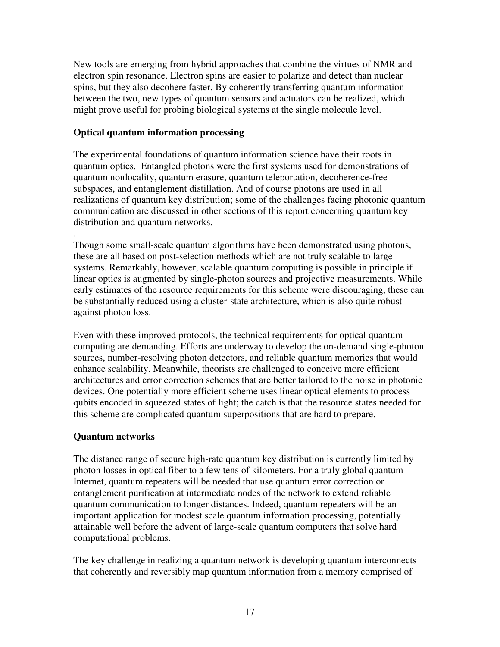New tools are emerging from hybrid approaches that combine the virtues of NMR and electron spin resonance. Electron spins are easier to polarize and detect than nuclear spins, but they also decohere faster. By coherently transferring quantum information between the two, new types of quantum sensors and actuators can be realized, which might prove useful for probing biological systems at the single molecule level.

# **Optical quantum information processing**

The experimental foundations of quantum information science have their roots in quantum optics. Entangled photons were the first systems used for demonstrations of quantum nonlocality, quantum erasure, quantum teleportation, decoherence-free subspaces, and entanglement distillation. And of course photons are used in all realizations of quantum key distribution; some of the challenges facing photonic quantum communication are discussed in other sections of this report concerning quantum key distribution and quantum networks.

. Though some small-scale quantum algorithms have been demonstrated using photons, these are all based on post-selection methods which are not truly scalable to large systems. Remarkably, however, scalable quantum computing is possible in principle if linear optics is augmented by single-photon sources and projective measurements. While early estimates of the resource requirements for this scheme were discouraging, these can be substantially reduced using a cluster-state architecture, which is also quite robust against photon loss.

Even with these improved protocols, the technical requirements for optical quantum computing are demanding. Efforts are underway to develop the on-demand single-photon sources, number-resolving photon detectors, and reliable quantum memories that would enhance scalability. Meanwhile, theorists are challenged to conceive more efficient architectures and error correction schemes that are better tailored to the noise in photonic devices. One potentially more efficient scheme uses linear optical elements to process qubits encoded in squeezed states of light; the catch is that the resource states needed for this scheme are complicated quantum superpositions that are hard to prepare.

# **Quantum networks**

The distance range of secure high-rate quantum key distribution is currently limited by photon losses in optical fiber to a few tens of kilometers. For a truly global quantum Internet, quantum repeaters will be needed that use quantum error correction or entanglement purification at intermediate nodes of the network to extend reliable quantum communication to longer distances. Indeed, quantum repeaters will be an important application for modest scale quantum information processing, potentially attainable well before the advent of large-scale quantum computers that solve hard computational problems.

The key challenge in realizing a quantum network is developing quantum interconnects that coherently and reversibly map quantum information from a memory comprised of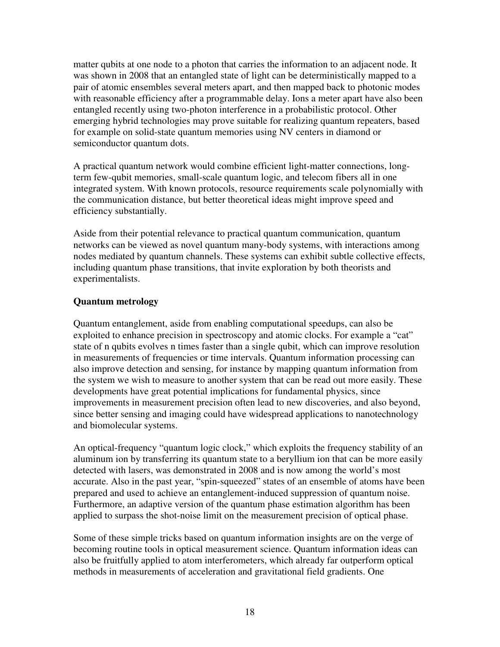matter qubits at one node to a photon that carries the information to an adjacent node. It was shown in 2008 that an entangled state of light can be deterministically mapped to a pair of atomic ensembles several meters apart, and then mapped back to photonic modes with reasonable efficiency after a programmable delay. Ions a meter apart have also been entangled recently using two-photon interference in a probabilistic protocol. Other emerging hybrid technologies may prove suitable for realizing quantum repeaters, based for example on solid-state quantum memories using NV centers in diamond or semiconductor quantum dots.

A practical quantum network would combine efficient light-matter connections, longterm few-qubit memories, small-scale quantum logic, and telecom fibers all in one integrated system. With known protocols, resource requirements scale polynomially with the communication distance, but better theoretical ideas might improve speed and efficiency substantially.

Aside from their potential relevance to practical quantum communication, quantum networks can be viewed as novel quantum many-body systems, with interactions among nodes mediated by quantum channels. These systems can exhibit subtle collective effects, including quantum phase transitions, that invite exploration by both theorists and experimentalists.

# **Quantum metrology**

Quantum entanglement, aside from enabling computational speedups, can also be exploited to enhance precision in spectroscopy and atomic clocks. For example a "cat" state of n qubits evolves n times faster than a single qubit, which can improve resolution in measurements of frequencies or time intervals. Quantum information processing can also improve detection and sensing, for instance by mapping quantum information from the system we wish to measure to another system that can be read out more easily. These developments have great potential implications for fundamental physics, since improvements in measurement precision often lead to new discoveries, and also beyond, since better sensing and imaging could have widespread applications to nanotechnology and biomolecular systems.

An optical-frequency "quantum logic clock," which exploits the frequency stability of an aluminum ion by transferring its quantum state to a beryllium ion that can be more easily detected with lasers, was demonstrated in 2008 and is now among the world's most accurate. Also in the past year, "spin-squeezed" states of an ensemble of atoms have been prepared and used to achieve an entanglement-induced suppression of quantum noise. Furthermore, an adaptive version of the quantum phase estimation algorithm has been applied to surpass the shot-noise limit on the measurement precision of optical phase.

Some of these simple tricks based on quantum information insights are on the verge of becoming routine tools in optical measurement science. Quantum information ideas can also be fruitfully applied to atom interferometers, which already far outperform optical methods in measurements of acceleration and gravitational field gradients. One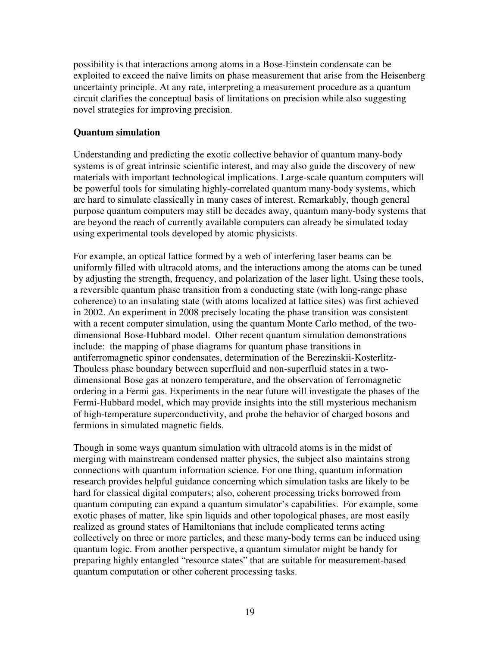possibility is that interactions among atoms in a Bose-Einstein condensate can be exploited to exceed the naïve limits on phase measurement that arise from the Heisenberg uncertainty principle. At any rate, interpreting a measurement procedure as a quantum circuit clarifies the conceptual basis of limitations on precision while also suggesting novel strategies for improving precision.

# **Quantum simulation**

Understanding and predicting the exotic collective behavior of quantum many-body systems is of great intrinsic scientific interest, and may also guide the discovery of new materials with important technological implications. Large-scale quantum computers will be powerful tools for simulating highly-correlated quantum many-body systems, which are hard to simulate classically in many cases of interest. Remarkably, though general purpose quantum computers may still be decades away, quantum many-body systems that are beyond the reach of currently available computers can already be simulated today using experimental tools developed by atomic physicists.

For example, an optical lattice formed by a web of interfering laser beams can be uniformly filled with ultracold atoms, and the interactions among the atoms can be tuned by adjusting the strength, frequency, and polarization of the laser light. Using these tools, a reversible quantum phase transition from a conducting state (with long-range phase coherence) to an insulating state (with atoms localized at lattice sites) was first achieved in 2002. An experiment in 2008 precisely locating the phase transition was consistent with a recent computer simulation, using the quantum Monte Carlo method, of the twodimensional Bose-Hubbard model. Other recent quantum simulation demonstrations include: the mapping of phase diagrams for quantum phase transitions in antiferromagnetic spinor condensates, determination of the Berezinskii-Kosterlitz-Thouless phase boundary between superfluid and non-superfluid states in a twodimensional Bose gas at nonzero temperature, and the observation of ferromagnetic ordering in a Fermi gas. Experiments in the near future will investigate the phases of the Fermi-Hubbard model, which may provide insights into the still mysterious mechanism of high-temperature superconductivity, and probe the behavior of charged bosons and fermions in simulated magnetic fields.

Though in some ways quantum simulation with ultracold atoms is in the midst of merging with mainstream condensed matter physics, the subject also maintains strong connections with quantum information science. For one thing, quantum information research provides helpful guidance concerning which simulation tasks are likely to be hard for classical digital computers; also, coherent processing tricks borrowed from quantum computing can expand a quantum simulator's capabilities. For example, some exotic phases of matter, like spin liquids and other topological phases, are most easily realized as ground states of Hamiltonians that include complicated terms acting collectively on three or more particles, and these many-body terms can be induced using quantum logic. From another perspective, a quantum simulator might be handy for preparing highly entangled "resource states" that are suitable for measurement-based quantum computation or other coherent processing tasks.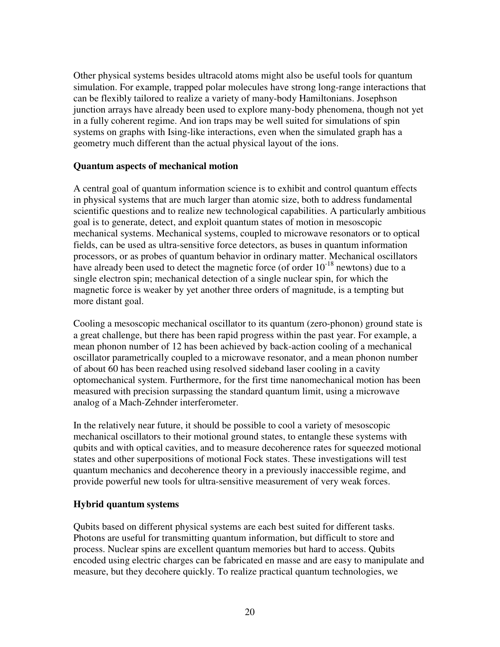Other physical systems besides ultracold atoms might also be useful tools for quantum simulation. For example, trapped polar molecules have strong long-range interactions that can be flexibly tailored to realize a variety of many-body Hamiltonians. Josephson junction arrays have already been used to explore many-body phenomena, though not yet in a fully coherent regime. And ion traps may be well suited for simulations of spin systems on graphs with Ising-like interactions, even when the simulated graph has a geometry much different than the actual physical layout of the ions.

#### **Quantum aspects of mechanical motion**

A central goal of quantum information science is to exhibit and control quantum effects in physical systems that are much larger than atomic size, both to address fundamental scientific questions and to realize new technological capabilities. A particularly ambitious goal is to generate, detect, and exploit quantum states of motion in mesoscopic mechanical systems. Mechanical systems, coupled to microwave resonators or to optical fields, can be used as ultra-sensitive force detectors, as buses in quantum information processors, or as probes of quantum behavior in ordinary matter. Mechanical oscillators have already been used to detect the magnetic force (of order  $10^{-18}$  newtons) due to a single electron spin; mechanical detection of a single nuclear spin, for which the magnetic force is weaker by yet another three orders of magnitude, is a tempting but more distant goal.

Cooling a mesoscopic mechanical oscillator to its quantum (zero-phonon) ground state is a great challenge, but there has been rapid progress within the past year. For example, a mean phonon number of 12 has been achieved by back-action cooling of a mechanical oscillator parametrically coupled to a microwave resonator, and a mean phonon number of about 60 has been reached using resolved sideband laser cooling in a cavity optomechanical system. Furthermore, for the first time nanomechanical motion has been measured with precision surpassing the standard quantum limit, using a microwave analog of a Mach-Zehnder interferometer.

In the relatively near future, it should be possible to cool a variety of mesoscopic mechanical oscillators to their motional ground states, to entangle these systems with qubits and with optical cavities, and to measure decoherence rates for squeezed motional states and other superpositions of motional Fock states. These investigations will test quantum mechanics and decoherence theory in a previously inaccessible regime, and provide powerful new tools for ultra-sensitive measurement of very weak forces.

# **Hybrid quantum systems**

Qubits based on different physical systems are each best suited for different tasks. Photons are useful for transmitting quantum information, but difficult to store and process. Nuclear spins are excellent quantum memories but hard to access. Qubits encoded using electric charges can be fabricated en masse and are easy to manipulate and measure, but they decohere quickly. To realize practical quantum technologies, we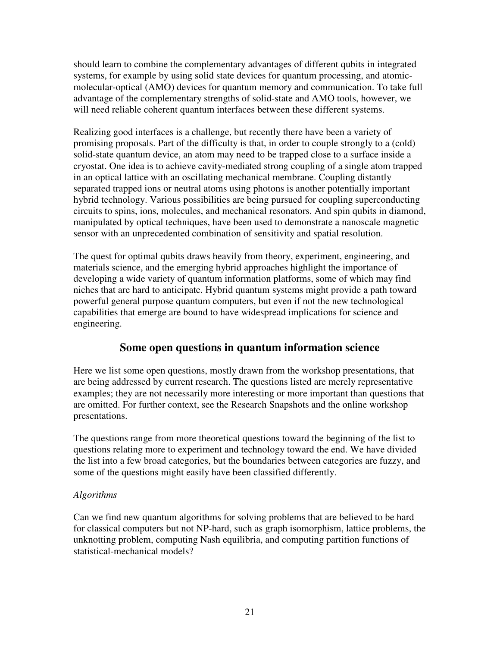should learn to combine the complementary advantages of different qubits in integrated systems, for example by using solid state devices for quantum processing, and atomicmolecular-optical (AMO) devices for quantum memory and communication. To take full advantage of the complementary strengths of solid-state and AMO tools, however, we will need reliable coherent quantum interfaces between these different systems.

Realizing good interfaces is a challenge, but recently there have been a variety of promising proposals. Part of the difficulty is that, in order to couple strongly to a (cold) solid-state quantum device, an atom may need to be trapped close to a surface inside a cryostat. One idea is to achieve cavity-mediated strong coupling of a single atom trapped in an optical lattice with an oscillating mechanical membrane. Coupling distantly separated trapped ions or neutral atoms using photons is another potentially important hybrid technology. Various possibilities are being pursued for coupling superconducting circuits to spins, ions, molecules, and mechanical resonators. And spin qubits in diamond, manipulated by optical techniques, have been used to demonstrate a nanoscale magnetic sensor with an unprecedented combination of sensitivity and spatial resolution.

The quest for optimal qubits draws heavily from theory, experiment, engineering, and materials science, and the emerging hybrid approaches highlight the importance of developing a wide variety of quantum information platforms, some of which may find niches that are hard to anticipate. Hybrid quantum systems might provide a path toward powerful general purpose quantum computers, but even if not the new technological capabilities that emerge are bound to have widespread implications for science and engineering.

# **Some open questions in quantum information science**

Here we list some open questions, mostly drawn from the workshop presentations, that are being addressed by current research. The questions listed are merely representative examples; they are not necessarily more interesting or more important than questions that are omitted. For further context, see the Research Snapshots and the online workshop presentations.

The questions range from more theoretical questions toward the beginning of the list to questions relating more to experiment and technology toward the end. We have divided the list into a few broad categories, but the boundaries between categories are fuzzy, and some of the questions might easily have been classified differently.

# *Algorithms*

Can we find new quantum algorithms for solving problems that are believed to be hard for classical computers but not NP-hard, such as graph isomorphism, lattice problems, the unknotting problem, computing Nash equilibria, and computing partition functions of statistical-mechanical models?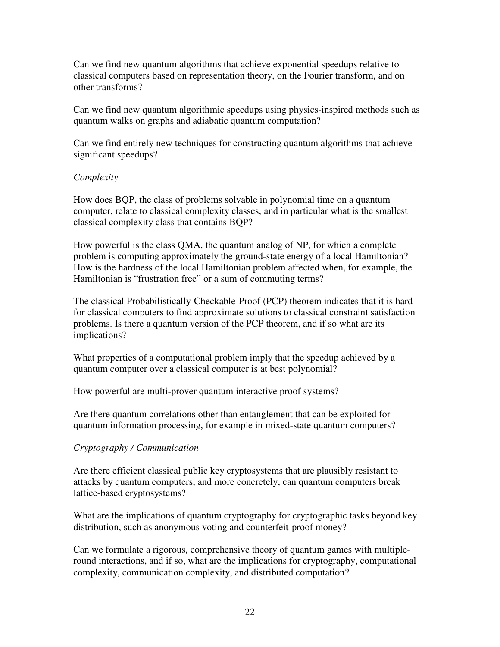Can we find new quantum algorithms that achieve exponential speedups relative to classical computers based on representation theory, on the Fourier transform, and on other transforms?

Can we find new quantum algorithmic speedups using physics-inspired methods such as quantum walks on graphs and adiabatic quantum computation?

Can we find entirely new techniques for constructing quantum algorithms that achieve significant speedups?

# *Complexity*

How does BQP, the class of problems solvable in polynomial time on a quantum computer, relate to classical complexity classes, and in particular what is the smallest classical complexity class that contains BQP?

How powerful is the class QMA, the quantum analog of NP, for which a complete problem is computing approximately the ground-state energy of a local Hamiltonian? How is the hardness of the local Hamiltonian problem affected when, for example, the Hamiltonian is "frustration free" or a sum of commuting terms?

The classical Probabilistically-Checkable-Proof (PCP) theorem indicates that it is hard for classical computers to find approximate solutions to classical constraint satisfaction problems. Is there a quantum version of the PCP theorem, and if so what are its implications?

What properties of a computational problem imply that the speedup achieved by a quantum computer over a classical computer is at best polynomial?

How powerful are multi-prover quantum interactive proof systems?

Are there quantum correlations other than entanglement that can be exploited for quantum information processing, for example in mixed-state quantum computers?

# *Cryptography / Communication*

Are there efficient classical public key cryptosystems that are plausibly resistant to attacks by quantum computers, and more concretely, can quantum computers break lattice-based cryptosystems?

What are the implications of quantum cryptography for cryptographic tasks beyond key distribution, such as anonymous voting and counterfeit-proof money?

Can we formulate a rigorous, comprehensive theory of quantum games with multipleround interactions, and if so, what are the implications for cryptography, computational complexity, communication complexity, and distributed computation?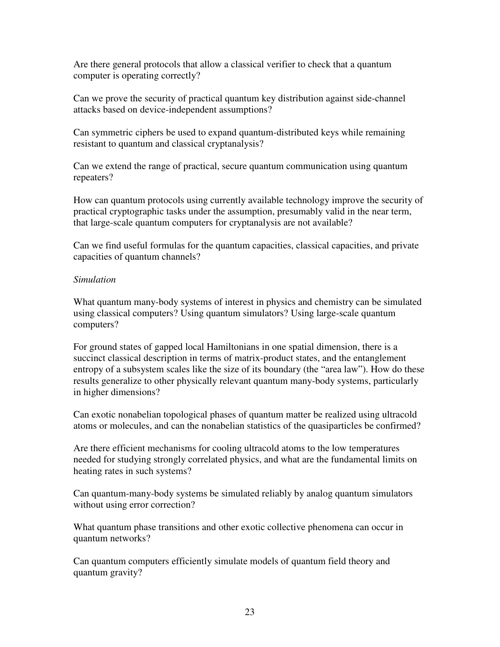Are there general protocols that allow a classical verifier to check that a quantum computer is operating correctly?

Can we prove the security of practical quantum key distribution against side-channel attacks based on device-independent assumptions?

Can symmetric ciphers be used to expand quantum-distributed keys while remaining resistant to quantum and classical cryptanalysis?

Can we extend the range of practical, secure quantum communication using quantum repeaters?

How can quantum protocols using currently available technology improve the security of practical cryptographic tasks under the assumption, presumably valid in the near term, that large-scale quantum computers for cryptanalysis are not available?

Can we find useful formulas for the quantum capacities, classical capacities, and private capacities of quantum channels?

#### *Simulation*

What quantum many-body systems of interest in physics and chemistry can be simulated using classical computers? Using quantum simulators? Using large-scale quantum computers?

For ground states of gapped local Hamiltonians in one spatial dimension, there is a succinct classical description in terms of matrix-product states, and the entanglement entropy of a subsystem scales like the size of its boundary (the "area law"). How do these results generalize to other physically relevant quantum many-body systems, particularly in higher dimensions?

Can exotic nonabelian topological phases of quantum matter be realized using ultracold atoms or molecules, and can the nonabelian statistics of the quasiparticles be confirmed?

Are there efficient mechanisms for cooling ultracold atoms to the low temperatures needed for studying strongly correlated physics, and what are the fundamental limits on heating rates in such systems?

Can quantum-many-body systems be simulated reliably by analog quantum simulators without using error correction?

What quantum phase transitions and other exotic collective phenomena can occur in quantum networks?

Can quantum computers efficiently simulate models of quantum field theory and quantum gravity?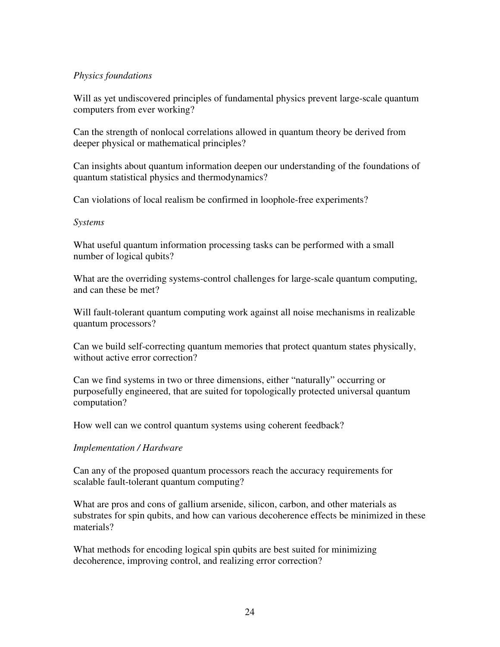#### *Physics foundations*

Will as yet undiscovered principles of fundamental physics prevent large-scale quantum computers from ever working?

Can the strength of nonlocal correlations allowed in quantum theory be derived from deeper physical or mathematical principles?

Can insights about quantum information deepen our understanding of the foundations of quantum statistical physics and thermodynamics?

Can violations of local realism be confirmed in loophole-free experiments?

#### *Systems*

What useful quantum information processing tasks can be performed with a small number of logical qubits?

What are the overriding systems-control challenges for large-scale quantum computing, and can these be met?

Will fault-tolerant quantum computing work against all noise mechanisms in realizable quantum processors?

Can we build self-correcting quantum memories that protect quantum states physically, without active error correction?

Can we find systems in two or three dimensions, either "naturally" occurring or purposefully engineered, that are suited for topologically protected universal quantum computation?

How well can we control quantum systems using coherent feedback?

# *Implementation / Hardware*

Can any of the proposed quantum processors reach the accuracy requirements for scalable fault-tolerant quantum computing?

What are pros and cons of gallium arsenide, silicon, carbon, and other materials as substrates for spin qubits, and how can various decoherence effects be minimized in these materials?

What methods for encoding logical spin qubits are best suited for minimizing decoherence, improving control, and realizing error correction?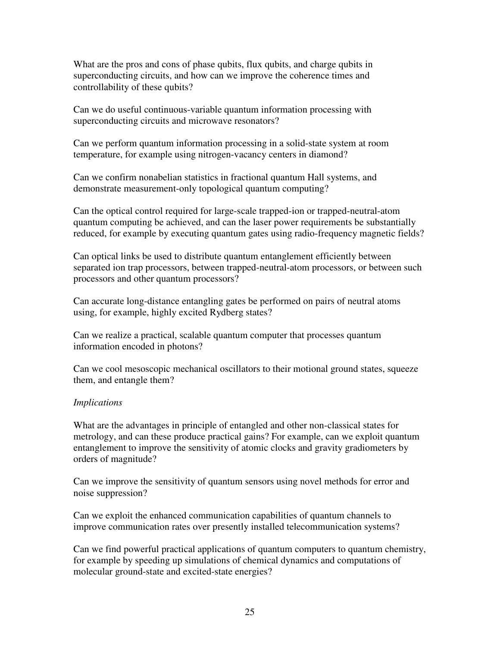What are the pros and cons of phase qubits, flux qubits, and charge qubits in superconducting circuits, and how can we improve the coherence times and controllability of these qubits?

Can we do useful continuous-variable quantum information processing with superconducting circuits and microwave resonators?

Can we perform quantum information processing in a solid-state system at room temperature, for example using nitrogen-vacancy centers in diamond?

Can we confirm nonabelian statistics in fractional quantum Hall systems, and demonstrate measurement-only topological quantum computing?

Can the optical control required for large-scale trapped-ion or trapped-neutral-atom quantum computing be achieved, and can the laser power requirements be substantially reduced, for example by executing quantum gates using radio-frequency magnetic fields?

Can optical links be used to distribute quantum entanglement efficiently between separated ion trap processors, between trapped-neutral-atom processors, or between such processors and other quantum processors?

Can accurate long-distance entangling gates be performed on pairs of neutral atoms using, for example, highly excited Rydberg states?

Can we realize a practical, scalable quantum computer that processes quantum information encoded in photons?

Can we cool mesoscopic mechanical oscillators to their motional ground states, squeeze them, and entangle them?

# *Implications*

What are the advantages in principle of entangled and other non-classical states for metrology, and can these produce practical gains? For example, can we exploit quantum entanglement to improve the sensitivity of atomic clocks and gravity gradiometers by orders of magnitude?

Can we improve the sensitivity of quantum sensors using novel methods for error and noise suppression?

Can we exploit the enhanced communication capabilities of quantum channels to improve communication rates over presently installed telecommunication systems?

Can we find powerful practical applications of quantum computers to quantum chemistry, for example by speeding up simulations of chemical dynamics and computations of molecular ground-state and excited-state energies?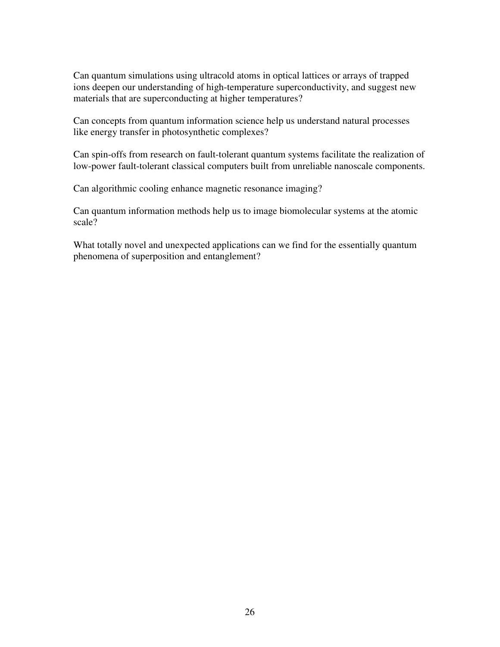Can quantum simulations using ultracold atoms in optical lattices or arrays of trapped ions deepen our understanding of high-temperature superconductivity, and suggest new materials that are superconducting at higher temperatures?

Can concepts from quantum information science help us understand natural processes like energy transfer in photosynthetic complexes?

Can spin-offs from research on fault-tolerant quantum systems facilitate the realization of low-power fault-tolerant classical computers built from unreliable nanoscale components.

Can algorithmic cooling enhance magnetic resonance imaging?

Can quantum information methods help us to image biomolecular systems at the atomic scale?

What totally novel and unexpected applications can we find for the essentially quantum phenomena of superposition and entanglement?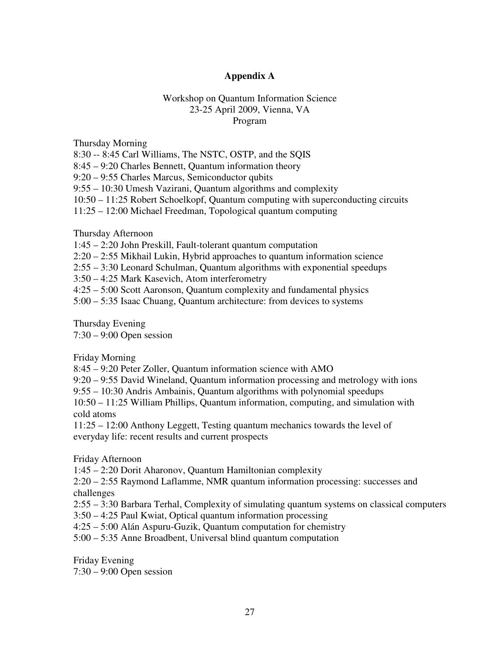#### **Appendix A**

#### Workshop on Quantum Information Science 23-25 April 2009, Vienna, VA Program

Thursday Morning

8:30 -- 8:45 Carl Williams, The NSTC, OSTP, and the SQIS

8:45 – 9:20 Charles Bennett, Quantum information theory

9:20 – 9:55 Charles Marcus, Semiconductor qubits

9:55 – 10:30 Umesh Vazirani, Quantum algorithms and complexity

10:50 – 11:25 Robert Schoelkopf, Quantum computing with superconducting circuits

11:25 – 12:00 Michael Freedman, Topological quantum computing

Thursday Afternoon

1:45 – 2:20 John Preskill, Fault-tolerant quantum computation

2:20 – 2:55 Mikhail Lukin, Hybrid approaches to quantum information science

2:55 – 3:30 Leonard Schulman, Quantum algorithms with exponential speedups

3:50 – 4:25 Mark Kasevich, Atom interferometry

4:25 – 5:00 Scott Aaronson, Quantum complexity and fundamental physics

5:00 – 5:35 Isaac Chuang, Quantum architecture: from devices to systems

Thursday Evening

7:30 – 9:00 Open session

Friday Morning

8:45 – 9:20 Peter Zoller, Quantum information science with AMO

9:20 – 9:55 David Wineland, Quantum information processing and metrology with ions

9:55 – 10:30 Andris Ambainis, Quantum algorithms with polynomial speedups

10:50 – 11:25 William Phillips, Quantum information, computing, and simulation with cold atoms

11:25 – 12:00 Anthony Leggett, Testing quantum mechanics towards the level of everyday life: recent results and current prospects

Friday Afternoon

1:45 – 2:20 Dorit Aharonov, Quantum Hamiltonian complexity

2:20 – 2:55 Raymond Laflamme, NMR quantum information processing: successes and challenges

2:55 – 3:30 Barbara Terhal, Complexity of simulating quantum systems on classical computers

3:50 – 4:25 Paul Kwiat, Optical quantum information processing

4:25 – 5:00 Alán Aspuru-Guzik, Quantum computation for chemistry

5:00 – 5:35 Anne Broadbent, Universal blind quantum computation

Friday Evening 7:30 – 9:00 Open session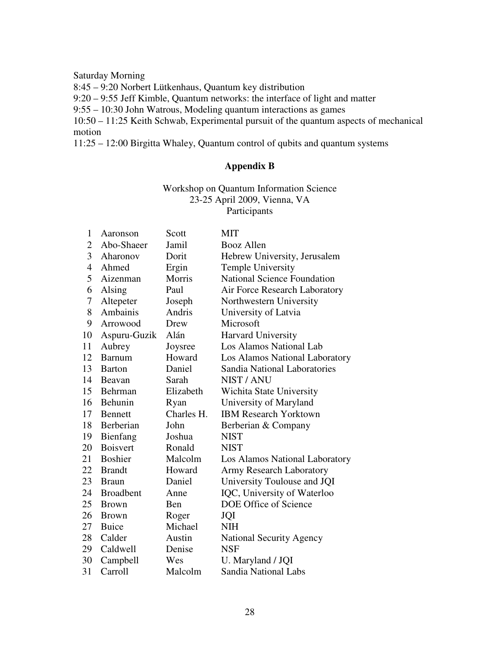Saturday Morning

8:45 – 9:20 Norbert Lütkenhaus, Quantum key distribution

9:20 – 9:55 Jeff Kimble, Quantum networks: the interface of light and matter

9:55 – 10:30 John Watrous, Modeling quantum interactions as games

10:50 – 11:25 Keith Schwab, Experimental pursuit of the quantum aspects of mechanical motion

11:25 – 12:00 Birgitta Whaley, Quantum control of qubits and quantum systems

# **Appendix B**

#### Workshop on Quantum Information Science 23-25 April 2009, Vienna, VA Participants

| $\mathbf{1}$   | Aaronson         | Scott      | MIT                                 |
|----------------|------------------|------------|-------------------------------------|
| $\overline{2}$ | Abo-Shaeer       | Jamil      | <b>Booz Allen</b>                   |
| 3              | Aharonov         | Dorit      | Hebrew University, Jerusalem        |
| $\overline{4}$ | Ahmed            | Ergin      | Temple University                   |
| 5              | Aizenman         | Morris     | <b>National Science Foundation</b>  |
| 6              | Alsing           | Paul       | Air Force Research Laboratory       |
| 7              | Altepeter        | Joseph     | Northwestern University             |
| 8              | Ambainis         | Andris     | University of Latvia                |
| 9              | Arrowood         | Drew       | Microsoft                           |
| 10             | Aspuru-Guzik     | Alán       | <b>Harvard University</b>           |
| 11             | Aubrey           | Joysree    | Los Alamos National Lab             |
| 12             | <b>Barnum</b>    | Howard     | Los Alamos National Laboratory      |
| 13             | <b>Barton</b>    | Daniel     | <b>Sandia National Laboratories</b> |
| 14             | Beavan           | Sarah      | NIST / ANU                          |
| 15             | Behrman          | Elizabeth  | Wichita State University            |
| 16             | Behunin          | Ryan       | University of Maryland              |
| 17             | <b>Bennett</b>   | Charles H. | <b>IBM Research Yorktown</b>        |
| 18             | Berberian        | John       | Berberian & Company                 |
| 19             | Bienfang         | Joshua     | <b>NIST</b>                         |
| 20             | <b>Boisvert</b>  | Ronald     | <b>NIST</b>                         |
| 21             | <b>Boshier</b>   | Malcolm    | Los Alamos National Laboratory      |
| 22             | <b>Brandt</b>    | Howard     | <b>Army Research Laboratory</b>     |
| 23             | <b>Braun</b>     | Daniel     | University Toulouse and JQI         |
| 24             | <b>Broadbent</b> | Anne       | IQC, University of Waterloo         |
| 25             | <b>Brown</b>     | <b>Ben</b> | DOE Office of Science               |
| 26             | <b>Brown</b>     | Roger      | JQI                                 |
| 27             | <b>Buice</b>     | Michael    | <b>NIH</b>                          |
| 28             | Calder           | Austin     | <b>National Security Agency</b>     |
| 29             | Caldwell         | Denise     | <b>NSF</b>                          |
| 30             | Campbell         | Wes        | U. Maryland / JQI                   |
| 31             | Carroll          | Malcolm    | <b>Sandia National Labs</b>         |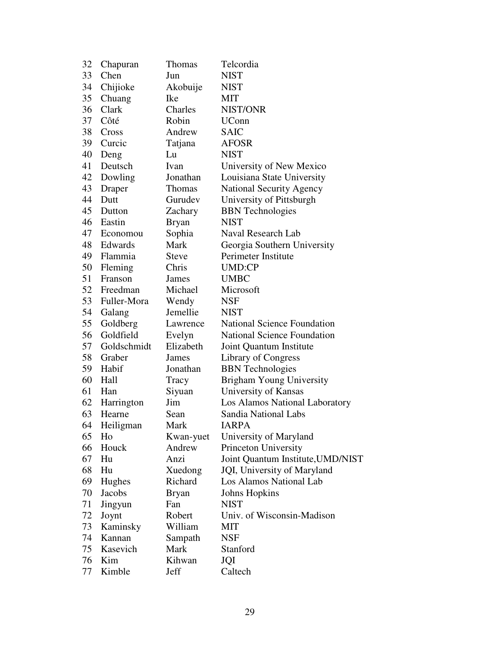| 32 | Chapuran    | Thomas        | Telcordia                          |
|----|-------------|---------------|------------------------------------|
| 33 | Chen        | Jun           | <b>NIST</b>                        |
| 34 | Chijioke    | Akobuije      | <b>NIST</b>                        |
| 35 | Chuang      | Ike           | МIТ                                |
| 36 | Clark       | Charles       | NIST/ONR                           |
| 37 | Côté        | Robin         | <b>UConn</b>                       |
| 38 | Cross       | Andrew        | <b>SAIC</b>                        |
| 39 | Curcic      | Tatjana       | <b>AFOSR</b>                       |
| 40 | Deng        | Lu            | <b>NIST</b>                        |
| 41 | Deutsch     | Ivan          | University of New Mexico           |
| 42 | Dowling     | Jonathan      | Louisiana State University         |
| 43 | Draper      | <b>Thomas</b> | <b>National Security Agency</b>    |
| 44 | Dutt        | Gurudev       | University of Pittsburgh           |
| 45 | Dutton      | Zachary       | <b>BBN</b> Technologies            |
| 46 | Eastin      | <b>Bryan</b>  | <b>NIST</b>                        |
| 47 | Economou    | Sophia        | Naval Research Lab                 |
| 48 | Edwards     | Mark          | Georgia Southern University        |
| 49 | Flammia     | <b>Steve</b>  | Perimeter Institute                |
| 50 | Fleming     | Chris         | <b>UMD:CP</b>                      |
| 51 | Franson     | James         | <b>UMBC</b>                        |
| 52 | Freedman    | Michael       | Microsoft                          |
| 53 | Fuller-Mora | Wendy         | NSF                                |
| 54 | Galang      | Jemellie      | <b>NIST</b>                        |
| 55 | Goldberg    | Lawrence      | <b>National Science Foundation</b> |
| 56 | Goldfield   | Evelyn        | <b>National Science Foundation</b> |
| 57 | Goldschmidt | Elizabeth     | Joint Quantum Institute            |
| 58 | Graber      | James         | Library of Congress                |
| 59 | Habif       | Jonathan      | <b>BBN</b> Technologies            |
| 60 | Hall        | Tracy         | <b>Brigham Young University</b>    |
| 61 | Han         | Siyuan        | University of Kansas               |
| 62 | Harrington  | Jim           | Los Alamos National Laboratory     |
| 63 | Hearne      | Sean          | Sandia National Labs               |
| 64 | Heiligman   | Mark          | <b>JARPA</b>                       |
| 65 | Ho          | Kwan-yuet     | University of Maryland             |
| 66 | Houck       | Andrew        | Princeton University               |
| 67 | Hu          | Anzi          | Joint Quantum Institute, UMD/NIST  |
| 68 | Hu          | Xuedong       | JQI, University of Maryland        |
| 69 | Hughes      | Richard       | Los Alamos National Lab            |
| 70 | Jacobs      | <b>Bryan</b>  | Johns Hopkins                      |
| 71 | Jingyun     | Fan           | <b>NIST</b>                        |
| 72 | Joynt       | Robert        | Univ. of Wisconsin-Madison         |
| 73 | Kaminsky    | William       | MIT                                |
| 74 | Kannan      | Sampath       | <b>NSF</b>                         |
| 75 | Kasevich    | Mark          | Stanford                           |
| 76 | Kim         | Kihwan        | JQI                                |
| 77 | Kimble      | Jeff          | Caltech                            |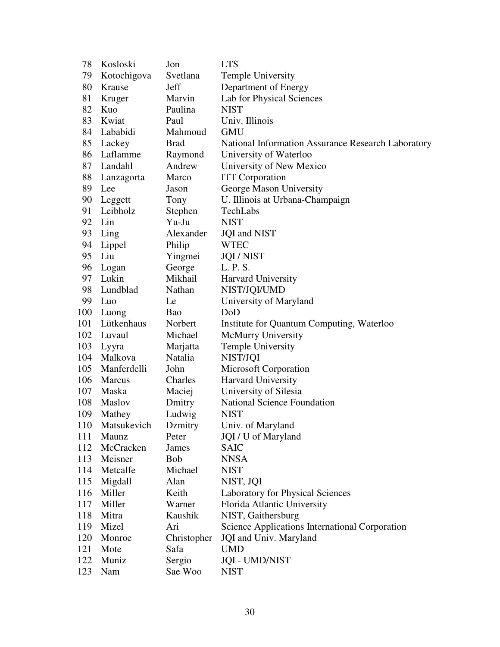| 78  | Kosloski      | Jon         | <b>LTS</b>                                         |
|-----|---------------|-------------|----------------------------------------------------|
| 79  | Kotochigova   | Svetlana    | Temple University                                  |
| 80  | Krause        | Jeff        | Department of Energy                               |
| 81  | Kruger        | Marvin      | Lab for Physical Sciences                          |
| 82  | Kuo           | Paulina     | <b>NIST</b>                                        |
| 83  | Kwiat         | Paul        | Univ. Illinois                                     |
| 84  | Lababidi      | Mahmoud     | <b>GMU</b>                                         |
|     | 85 Lackey     | <b>Brad</b> | National Information Assurance Research Laboratory |
| 86  | Laflamme      | Raymond     | University of Waterloo                             |
| 87  | Landahl       | Andrew      | University of New Mexico                           |
| 88  | Lanzagorta    | Marco       | <b>ITT</b> Corporation                             |
| 89  | Lee           | Jason       | George Mason University                            |
| 90  | Leggett       | Tony        | U. Illinois at Urbana-Champaign                    |
| 91  | Leibholz      | Stephen     | TechLabs                                           |
| 92  | Lin           | Yu-Ju       | <b>NIST</b>                                        |
| 93  | Ling          | Alexander   | <b>JQI</b> and NIST                                |
| 94  | Lippel        | Philip      | <b>WTEC</b>                                        |
| 95  | Liu           | Yingmei     | <b>JQI/NIST</b>                                    |
| 96  | Logan         | George      | L. P. S.                                           |
| 97  | Lukin         | Mikhail     | Harvard University                                 |
| 98  | Lundblad      | Nathan      | NIST/JQI/UMD                                       |
| 99  | Luo           | Le          | University of Maryland                             |
| 100 | Luong         | Bao         | DoD                                                |
| 101 | Lütkenhaus    | Norbert     | Institute for Quantum Computing, Waterloo          |
| 102 | Luvaul        | Michael     | <b>McMurry University</b>                          |
| 103 | Lyyra         | Marjatta    | <b>Temple University</b>                           |
| 104 | Malkova       | Natalia     | NIST/JQI                                           |
| 105 | Manferdelli   | John        | <b>Microsoft Corporation</b>                       |
| 106 | <b>Marcus</b> | Charles     | Harvard University                                 |
| 107 | Maska         | Maciej      | University of Silesia                              |
| 108 | Maslov        | Dmitry      | <b>National Science Foundation</b>                 |
| 109 | Mathey        | Ludwig      | <b>NIST</b>                                        |
| 110 | Matsukevich   | Dzmitry     | Univ. of Maryland                                  |
| 111 | Maunz         | Peter       | JQI / U of Maryland                                |
| 112 | McCracken     | James       | <b>SAIC</b>                                        |
| 113 | Meisner       | <b>Bob</b>  | <b>NNSA</b>                                        |
| 114 | Metcalfe      | Michael     | <b>NIST</b>                                        |
| 115 | Migdall       | Alan        | NIST, JQI                                          |
| 116 | Miller        | Keith       | <b>Laboratory for Physical Sciences</b>            |
| 117 | Miller        | Warner      | Florida Atlantic University                        |
| 118 | Mitra         | Kaushik     | NIST, Gaithersburg                                 |
| 119 | Mizel         | Ari         | Science Applications International Corporation     |
| 120 | Monroe        | Christopher | JQI and Univ. Maryland                             |
| 121 | Mote          | Safa        | <b>UMD</b>                                         |
| 122 | Muniz         | Sergio      | <b>JQI - UMD/NIST</b>                              |
| 123 | Nam           | Sae Woo     | <b>NIST</b>                                        |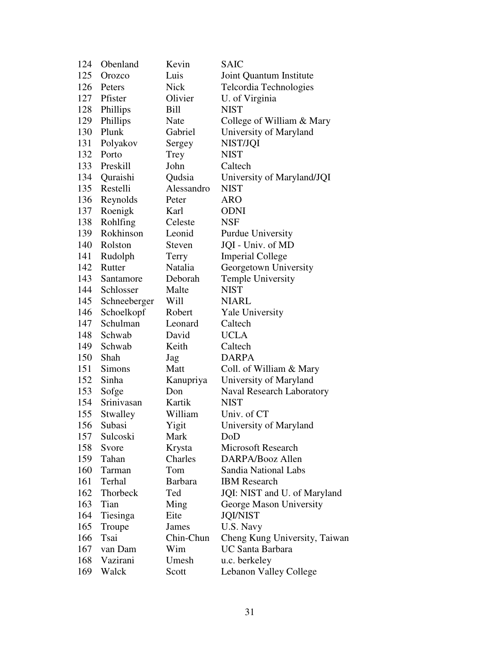| 124 | Obenland      | Kevin          | SAIC                             |
|-----|---------------|----------------|----------------------------------|
| 125 | Orozco        | Luis           | Joint Quantum Institute          |
| 126 | Peters        | <b>Nick</b>    | Telcordia Technologies           |
|     | 127 Pfister   | Olivier        | U. of Virginia                   |
| 128 | Phillips      | Bill           | <b>NIST</b>                      |
| 129 | Phillips      | Nate           | College of William & Mary        |
| 130 | Plunk         | Gabriel        | University of Maryland           |
| 131 | Polyakov      | Sergey         | NIST/JQI                         |
| 132 | Porto         | Trey           | <b>NIST</b>                      |
| 133 | Preskill      | John           | Caltech                          |
| 134 | Quraishi      | Qudsia         | University of Maryland/JQI       |
| 135 | Restelli      | Alessandro     | <b>NIST</b>                      |
| 136 | Reynolds      | Peter          | <b>ARO</b>                       |
| 137 | Roenigk       | Karl           | <b>ODNI</b>                      |
| 138 | Rohlfing      | Celeste        | <b>NSF</b>                       |
| 139 | Rokhinson     | Leonid         | <b>Purdue University</b>         |
| 140 | Rolston       | Steven         | JQI - Univ. of MD                |
| 141 | Rudolph       | Terry          | <b>Imperial College</b>          |
| 142 | Rutter        | Natalia        | Georgetown University            |
| 143 | Santamore     | Deborah        | <b>Temple University</b>         |
| 144 | Schlosser     | Malte          | <b>NIST</b>                      |
| 145 | Schneeberger  | Will           | <b>NIARL</b>                     |
| 146 | Schoelkopf    | Robert         | Yale University                  |
| 147 | Schulman      | Leonard        | Caltech                          |
| 148 | Schwab        | David          | <b>UCLA</b>                      |
| 149 | Schwab        | Keith          | Caltech                          |
| 150 | Shah          | Jag            | <b>DARPA</b>                     |
| 151 | <b>Simons</b> | Matt           | Coll. of William & Mary          |
| 152 | Sinha         | Kanupriya      | University of Maryland           |
| 153 | Sofge         | Don            | <b>Naval Research Laboratory</b> |
| 154 | Srinivasan    | Kartik         | <b>NIST</b>                      |
| 155 | Stwalley      | William        | Univ. of CT                      |
| 156 | Subasi        | Yigit          | University of Maryland           |
| 157 | Sulcoski      | Mark           | DoD                              |
| 158 | Svore         | Krysta         | <b>Microsoft Research</b>        |
| 159 | Tahan         | Charles        | DARPA/Booz Allen                 |
| 160 | Tarman        | Tom            | Sandia National Labs             |
| 161 | Terhal        | <b>Barbara</b> | <b>IBM</b> Research              |
| 162 | Thorbeck      | Ted            | JQI: NIST and U. of Maryland     |
| 163 | Tian          | Ming           | George Mason University          |
| 164 | Tiesinga      | Eite           | <b>JQI/NIST</b>                  |
| 165 | Troupe        | James          | U.S. Navy                        |
| 166 | Tsai          | Chin-Chun      | Cheng Kung University, Taiwan    |
| 167 | van Dam       | Wim            | <b>UC Santa Barbara</b>          |
| 168 | Vazirani      | Umesh          | u.c. berkeley                    |
| 169 | Walck         | Scott          | Lebanon Valley College           |